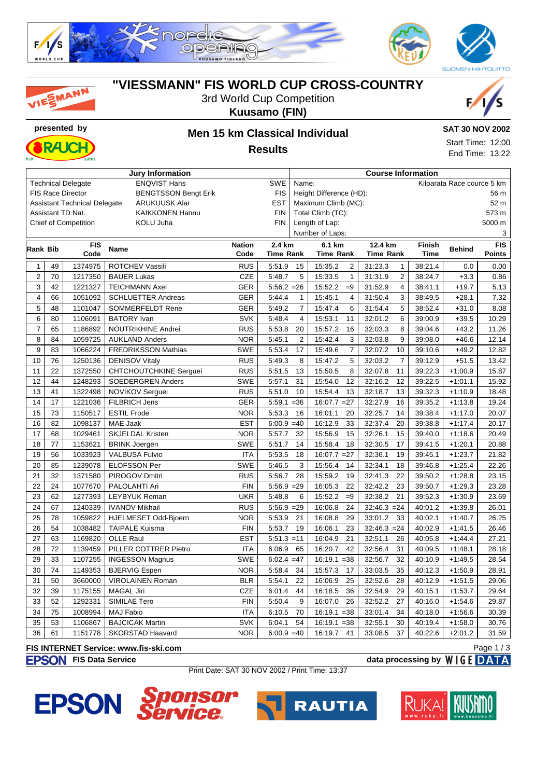

**"VIESSMANN" FIS WORLD CUP CROSS-COUNTRY** 3rd World Cup Competition

|                |          |                                     |                                         |                   | <b>Kuusamo (FIN)</b>    |                |                                       |                            |                    |                        |                 |
|----------------|----------|-------------------------------------|-----------------------------------------|-------------------|-------------------------|----------------|---------------------------------------|----------------------------|--------------------|------------------------|-----------------|
|                |          | presented by                        |                                         |                   |                         |                | <b>Men 15 km Classical Individual</b> |                            |                    | <b>SAT 30 NOV 2002</b> |                 |
|                |          |                                     |                                         |                   |                         |                | Start Time: 12:00                     |                            |                    |                        |                 |
|                |          |                                     |                                         |                   | <b>Results</b>          |                |                                       |                            |                    |                        | End Time: 13:22 |
|                |          |                                     |                                         |                   |                         |                |                                       |                            |                    |                        |                 |
|                |          | <b>Technical Delegate</b>           | Jury Information<br><b>ENQVIST Hans</b> |                   | SWE                     | Name:          | <b>Course Information</b>             | Kilparata Race cource 5 km |                    |                        |                 |
|                |          | <b>FIS Race Director</b>            | <b>BENGTSSON Bengt Erik</b>             |                   | <b>FIS</b>              |                | Height Difference (HD):               |                            |                    |                        | 56 m            |
|                |          | <b>Assistant Technical Delegate</b> | <b>ARUKUUSK Alar</b>                    |                   | EST                     |                | Maximum Climb (MC):                   |                            |                    |                        | 52 m            |
|                |          | Assistant TD Nat.                   | <b>KAIKKONEN Hannu</b>                  |                   | <b>FIN</b>              |                | Total Climb (TC):                     |                            |                    |                        | 573 m           |
|                |          | <b>Chief of Competition</b>         | <b>KOLU Juha</b>                        |                   | <b>FIN</b>              |                | Length of Lap:                        |                            |                    |                        | 5000 m          |
|                |          |                                     |                                         |                   |                         |                | Number of Laps:                       |                            |                    |                        | 3               |
| Rank Bib       |          | <b>FIS</b>                          | <b>Name</b>                             | <b>Nation</b>     | 2.4 km                  |                | 6.1 km                                | 12.4 km                    | <b>Finish</b>      | <b>Behind</b>          | <b>FIS</b>      |
|                |          | Code                                |                                         | Code              | <b>Time Rank</b>        |                | <b>Time Rank</b>                      | <b>Time Rank</b>           | <b>Time</b>        |                        | <b>Points</b>   |
| $\mathbf{1}$   | 49       | 1374975                             | ROTCHEV Vassili                         | <b>RUS</b>        | 5:51.9                  | 15             | 15:35.2<br>2                          | 31:23.3<br>$\mathbf{1}$    | 38:21.4            | 0.0                    | 0.00            |
| $\overline{2}$ | 70       | 1217350                             | <b>BAUER Lukas</b>                      | <b>CZE</b>        | 5:48.7                  | 5              | $\mathbf{1}$<br>15:33.5               | $\overline{2}$<br>31:31.9  | 38:24.7            | $+3.3$                 | 0.86            |
| 3              | 42       | 1221327                             | <b>TEICHMANN Axel</b>                   | <b>GER</b>        | $5:56.2 = 26$           |                | 15:52.2<br>$=9$                       | 31:52.9<br>4               | 38:41.1            | $+19.7$                | 5.13            |
| 4              | 66       | 1051092                             | <b>SCHLUETTER Andreas</b>               | <b>GER</b>        | 5:44.4                  | 1              | 15:45.1<br>4                          | 31:50.4<br>3               | 38:49.5            | $+28.1$                | 7.32            |
| 5              | 48       | 1101047                             | SOMMERFELDT Rene                        | <b>GER</b>        | 5:49.2                  | 7              | 15:47.4<br>6                          | 5<br>31:54.4               | 38:52.4            | $+31.0$                | 8.08            |
| 6              | 80       | 1106091                             | <b>BATORY</b> Ivan                      | <b>SVK</b>        | 5:48.4                  | 4              | 15:53.1<br>11                         | 6<br>32:01.2               | 39:00.9            | $+39.5$                | 10.29           |
| $\overline{7}$ | 65       | 1186892                             | <b>NOUTRIKHINE Andrei</b>               | <b>RUS</b>        | 5:53.8                  | 20             | 15:57.2<br>16                         | 32:03.3<br>8               | 39:04.6            | $+43.2$                | 11.26           |
| 8              | 84       | 1059725                             | <b>AUKLAND Anders</b>                   | <b>NOR</b>        | 5:45.1                  | $\overline{2}$ | 15:42.4<br>3                          | 32:03.8<br>9               | 39:08.0            | $+46.6$                | 12.14           |
| 9              | 83       | 1066224                             | <b>FREDRIKSSON Mathias</b>              | SWE               | 5:53.4                  | 17             | $\overline{7}$<br>15:49.6             | 32:07.2<br>10              | 39:10.6            | $+49.2$                | 12.82           |
| 10             | 76       | 1250136                             | <b>DENISOV Vitaly</b>                   | <b>RUS</b>        | 5:49.3                  | 8              | 15:47.2<br>5                          | $\overline{7}$<br>32:03.2  | 39:12.9            | $+51.5$                | 13.42           |
| 11             | 22       | 1372550                             | <b>CHTCHOUTCHKINE Serguei</b>           | <b>RUS</b>        | 5:51.5                  | 13             | 15:50.5<br>8                          | 32:07.8<br>11              | 39:22.3            | $+1:00.9$              | 15.87           |
| 12             | 44       | 1248293                             | <b>SOEDERGREN Anders</b>                | SWE               | 5:57.1                  | 31             | 15:54.0<br>12                         | 32:16.2<br>12              | 39:22.5            | $+1:01.1$              | 15.92           |
| 13             | 41       | 1322498                             | NOVIKOV Serguei                         | <b>RUS</b>        | 5:51.0                  | 10             | 15:54.4<br>13                         | 32:18.7<br>13              | 39:32.3            | $+1:10.9$              | 18.48           |
| 14             | 17       | 1221036                             | <b>FILBRICH Jens</b>                    | <b>GER</b>        | $5:59.1 = 36$           |                | $16:07.7 = 27$                        | 32:27.9<br>16              | 39:35.2            | $+1:13.8$              | 19.24           |
| 15             | 73       | 1150517                             | <b>ESTIL Frode</b>                      | <b>NOR</b>        | 5:53.3                  | 16             | 16:01.1<br>20                         | 32:25.7<br>14              | 39:38.4            | $+1:17.0$              | 20.07           |
| 16             | 82       | 1098137                             | <b>MAE Jaak</b>                         | <b>EST</b>        | $6:00.9 = 40$           |                | 16:12.9<br>33                         | 20<br>32:37.4              | 39:38.8            | $+1:17.4$              | 20.17           |
| 17             | 68       | 1029461                             | <b>SKJELDAL Kristen</b>                 | <b>NOR</b>        | 5:57.7                  | 32             | 15:56.9<br>15                         | 32:26.1<br>15              | 39:40.0            | $+1:18.6$              | 20.49           |
| 18             | 77       | 1153621                             | <b>BRINK Joergen</b>                    | <b>SWE</b>        | 5:51.7                  | 14             | 15:58.4<br>18                         | 17<br>32:30.5              | 39:41.5            | $+1:20.1$              | 20.88           |
| 19             | 56       | 1033923                             | <b>VALBUSA Fulvio</b>                   | ITA               | 5:53.5                  | 18             | $16:07.7 = 27$                        | 32:36.1<br>19              | 39:45.1            | $+1:23.7$              | 21.82           |
| 20<br>21       | 85       | 1239078<br>1371580                  | <b>ELOFSSON Per</b>                     | <b>SWE</b>        | 5:46.5<br>5:56.7        | 3              | 15:56.4<br>14                         | 32:34.1<br>18<br>22        | 39:46.8            | $+1:25.4$              | 22.26           |
|                | 32       |                                     | PIROGOV Dmitri<br>PALOLAHTI Ari         | <b>RUS</b>        |                         | 28             | 15:59.2<br>19                         | 32:41.3<br>32:42.2         | 39:50.2            | $+1:28.8$              | 23.15           |
| 22<br>23       | 24       | 1077670<br>1277393                  | <b>LEYBYUK Roman</b>                    | <b>FIN</b><br>UKR | $5:56.9 = 29$<br>5:48.8 | 6              | 16:05.3<br>22<br>15:52.2<br>$=9$      | 23<br>21<br>32:38.2        | 39:50.7<br>39:52.3 | $+1:29.3$              | 23.28           |
| 24             | 62<br>67 | 1240339                             | <b>IVANOV Mikhail</b>                   | <b>RUS</b>        | $5:56.9 = 29$           |                | 16:06.8<br>24                         | $32:46.3 = 24$             | 40:01.2            | $+1:30.9$<br>$+1:39.8$ | 23.69<br>26.01  |
| 25             | 78       | 1059822                             | HJELMESET Odd-Bjoern                    | <b>NOR</b>        | 5:53.9                  | 21             | 16:08.8<br>29                         | 33<br>33:01.2              | 40:02.1            | $+1:40.7$              | 26.25           |
| 26             | 54       | 1038482                             | <b>TAIPALE Kuisma</b>                   | FIN               | 5:53.7 19               |                | 16:06.1<br>23                         | $32:46.3 = 24$             | 40:02.9            | $+1:41.5$              | 26.46           |
| 27             | 63       | 1169820                             | OLLE Raul                               | <b>EST</b>        | $5:51.3 = 11$           |                | 16:04.9<br>21                         | 32:51.1<br>26              | 40:05.8            | $+1:44.4$              | 27.21           |
| 28             | 72       | 1139459                             | PILLER COTTRER Pietro                   | ITA               | 6:06.9                  | 65             | 16:20.7<br>42                         | 32:56.4<br>31              | 40:09.5            | $+1:48.1$              | 28.18           |
| 29             | 33       | 1107255                             | <b>INGESSON Magnus</b>                  | SWE               | $6:02.4 = 47$           |                | $16:19.1 = 38$                        | 32:56.7<br>32              | 40:10.9            | $+1:49.5$              | 28.54           |
| 30             | 74       | 1149353                             | <b>BJERVIG Espen</b>                    | <b>NOR</b>        | 5:58.4                  | 34             | 15:57.3<br>17                         | 33:03.5<br>35              | 40:12.3            | $+1:50.9$              | 28.91           |
| 31             | 50       | 3660000                             | <b>VIROLAINEN Roman</b>                 | <b>BLR</b>        | 5:54.1                  | 22             | 16:06.9<br>25                         | 32:52.6<br>28              | 40:12.9            | $+1:51.5$              | 29.06           |
| 32             | 39       | 1175155                             | <b>MAGAL Jiri</b>                       | CZE               | 6:01.4                  | 44             | 16:18.5<br>36                         | 32:54.9<br>29              | 40:15.1            | $+1:53.7$              | 29.64           |
| 33             | 52       | 1292331                             | SIMILAE Tero                            | <b>FIN</b>        | 5:50.4                  | 9              | 16:07.0<br>26                         | 32:52.2<br>27              | 40:16.0            | $+1:54.6$              | 29.87           |
| 34             | 75       | 1008994                             | MAJ Fabio                               | <b>ITA</b>        | 6:10.5                  | 70             | $16:19.1 = 38$                        | 33:01.4<br>34              | 40:18.0            | $+1:56.6$              | 30.39           |
| 35             | 53       | 1106867                             | <b>BAJCICAK Martin</b>                  | SVK               | 6:04.1                  | 54             | $16:19.1 = 38$                        | 32:55.1<br>30              | 40:19.4            | $+1:58.0$              | 30.76           |
| 36             | 61       | 1151778                             | <b>SKORSTAD Haavard</b>                 | <b>NOR</b>        | $6:00.9 = 40$           |                | 16:19.7<br>41                         | 33:08.5<br>37              | 40:22.6            | $+2:01.2$              | 31.59           |
|                |          |                                     |                                         |                   |                         |                |                                       |                            |                    |                        |                 |



F,

**FIS Data Service data processing by**  $W \mid G \in \mathbf{DATA}$ Print Date: SAT 30 NOV 2002 / Print Time: 13:37

# **EPSON** S ponsor

**FIS INTERNET Service: www.fis-ski.com**

SMANN





Page 1 / 3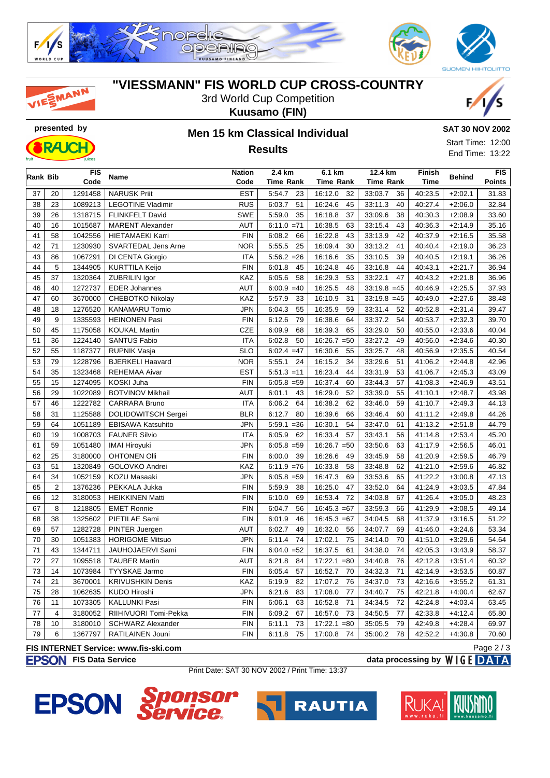



### **"VIESSMANN" FIS WORLD CUP CROSS-COUNTRY**

3rd World Cup Competition





# **Kuusamo (FIN)**

**Results**



Start Time: 12:00 End Time: 13:22

| Rank Bib |                | <b>FIS</b> | Name                                  | 2.4 km<br>Nation |                  | 6.1 km           | 12.4 km          | Finish      | <b>Behind</b> | <b>FIS</b> |
|----------|----------------|------------|---------------------------------------|------------------|------------------|------------------|------------------|-------------|---------------|------------|
|          |                | Code       |                                       | Code             | <b>Time Rank</b> | <b>Time Rank</b> | <b>Time Rank</b> | <b>Time</b> |               | Points     |
| 37       | 20             | 1291458    | <b>NARUSK Priit</b>                   | <b>EST</b>       | 5:54.7<br>23     | 32<br>16:12.0    | 33:03.7<br>36    | 40:23.5     | $+2:02.1$     | 31.83      |
| 38       | 23             | 1089213    | <b>LEGOTINE Vladimir</b>              | <b>RUS</b>       | 6:03.7<br>51     | 16:24.6<br>45    | 33:11.3<br>40    | 40:27.4     | $+2:06.0$     | 32.84      |
| 39       | 26             | 1318715    | FLINKFELT David                       | <b>SWE</b>       | 5:59.0<br>35     | 16:18.8<br>37    | 33:09.6<br>38    | 40:30.3     | $+2:08.9$     | 33.60      |
| 40       | 16             | 1015687    | <b>MARENT Alexander</b>               | AUT              | $6:11.0 = 71$    | 16:38.5<br>63    | 33:15.4<br>43    | 40:36.3     | $+2:14.9$     | 35.16      |
| 41       | 58             | 1042556    | <b>HIETAMAEKI Karri</b>               | <b>FIN</b>       | 6:08.2<br>66     | 16:22.8<br>43    | 33:13.9<br>42    | 40:37.9     | $+2:16.5$     | 35.58      |
| 42       | 71             | 1230930    | SVARTEDAL Jens Arne                   | <b>NOR</b>       | 5:55.5<br>25     | 16:09.4<br>30    | 33:13.2<br>41    | 40:40.4     | $+2:19.0$     | 36.23      |
| 43       | 86             | 1067291    | DI CENTA Giorgio                      | <b>ITA</b>       | $5:56.2 = 26$    | 35<br>16:16.6    | 33:10.5<br>39    | 40:40.5     | $+2:19.1$     | 36.26      |
| 44       | 5              | 1344905    | <b>KURTTILA Keijo</b>                 | <b>FIN</b>       | 6:01.8<br>45     | 16:24.8<br>46    | 44<br>33:16.8    | 40:43.1     | $+2:21.7$     | 36.94      |
| 45       | 37             | 1320364    | ZUBRILIN Igor                         | KAZ              | 6:05.6<br>58     | 16:29.3<br>53    | 33:22.1<br>47    | 40:43.2     | $+2:21.8$     | 36.96      |
| 46       | 40             | 1272737    | <b>EDER Johannes</b>                  | <b>AUT</b>       | $6:00.9 = 40$    | 16:25.5<br>48    | $33:19.8 = 45$   | 40:46.9     | $+2:25.5$     | 37.93      |
| 47       | 60             | 3670000    | <b>CHEBOTKO Nikolay</b>               | KAZ              | 5:57.9<br>33     | 16:10.9<br>31    | $33:19.8 = 45$   | 40:49.0     | $+2:27.6$     | 38.48      |
| 48       | 18             | 1276520    | <b>KANAMARU Tomio</b>                 | <b>JPN</b>       | 6:04.3<br>55     | 16:35.9<br>59    | 33:31.4<br>52    | 40:52.8     | $+2:31.4$     | 39.47      |
| 49       | 9              | 1335593    | <b>HEINONEN Pasi</b>                  | <b>FIN</b>       | 6:12.6<br>79     | 16:38.6<br>64    | 33:37.2<br>54    | 40:53.7     | $+2:32.3$     | 39.70      |
| 50       | 45             | 1175058    | <b>KOUKAL Martin</b>                  | <b>CZE</b>       | 6:09.9<br>68     | 16:39.3<br>65    | 33:29.0<br>50    | 40:55.0     | $+2:33.6$     | 40.04      |
| 51       | 36             | 1224140    | <b>SANTUS Fabio</b>                   | <b>ITA</b>       | 6:02.8<br>50     | $16:26.7 = 50$   | 33:27.2<br>49    | 40:56.0     | $+2:34.6$     | 40.30      |
| 52       | 55             | 1187377    | <b>RUPNIK Vasja</b>                   | <b>SLO</b>       | $6:02.4 = 47$    | 16:30.6<br>55    | 33:25.7<br>48    | 40:56.9     | $+2:35.5$     | 40.54      |
| 53       | 79             | 1228796    | <b>BJERKELI Haavard</b>               | <b>NOR</b>       | 5:55.1<br>24     | 16:15.2<br>34    | 33:29.6<br>51    | 41:06.2     | $+2:44.8$     | 42.96      |
| 54       | 35             | 1323468    | <b>REHEMAA Aivar</b>                  | <b>EST</b>       | $5:51.3 = 11$    | 16:23.4<br>44    | 33:31.9<br>53    | 41:06.7     | $+2:45.3$     | 43.09      |
| 55       | 15             | 1274095    | KOSKI Juha                            | <b>FIN</b>       | $6:05.8 = 59$    | 16:37.4<br>60    | 33:44.3<br>57    | 41:08.3     | $+2:46.9$     | 43.51      |
| 56       | 29             | 1022089    | <b>BOTVINOV Mikhail</b>               | <b>AUT</b>       | 6:01.1<br>43     | 16:29.0<br>52    | 33:39.0<br>55    | 41:10.1     | $+2:48.7$     | 43.98      |
| 57       | 46             | 1222782    | <b>CARRARA Bruno</b>                  | <b>ITA</b>       | 6:06.2<br>64     | 16:38.2<br>62    | 33:46.0<br>59    | 41:10.7     | $+2:49.3$     | 44.13      |
| 58       | 31             | 1125588    | <b>DOLIDOWITSCH Sergei</b>            | <b>BLR</b>       | 6:12.7<br>80     | 16:39.6<br>66    | 33:46.4<br>60    | 41:11.2     | $+2:49.8$     | 44.26      |
| 59       | 64             | 1051189    | EBISAWA Katsuhito                     | <b>JPN</b>       | $5:59.1 = 36$    | 16:30.1<br>54    | 33:47.0<br>61    | 41:13.2     | $+2:51.8$     | 44.79      |
| 60       | 19             | 1008703    | <b>FAUNER Silvio</b>                  | <b>ITA</b>       | 6:05.9<br>62     | 16:33.4<br>57    | 33:43.1<br>56    | 41:14.8     | $+2:53.4$     | 45.20      |
| 61       | 59             | 1051480    | <b>IMAI Hiroyuki</b>                  | <b>JPN</b>       | $6:05.8 = 59$    | $16:26.7 = 50$   | 33:50.6<br>63    | 41:17.9     | $+2:56.5$     | 46.01      |
| 62       | 25             | 3180000    | <b>OHTONEN Olli</b>                   | <b>FIN</b>       | 6:00.0<br>39     | 16:26.6<br>49    | 33:45.9<br>58    | 41:20.9     | $+2:59.5$     | 46.79      |
| 63       | 51             | 1320849    | GOLOVKO Andrei                        | KAZ              | $6:11.9 = 76$    | 16:33.8<br>58    | 33:48.8<br>62    | 41:21.0     | $+2:59.6$     | 46.82      |
| 64       | 34             | 1052159    | KOZU Masaaki                          | <b>JPN</b>       | $6:05.8 = 59$    | 16:47.3<br>69    | 33:53.6<br>65    | 41:22.2     | $+3:00.8$     | 47.13      |
| 65       | $\overline{2}$ | 1376236    | PEKKALA Jukka                         | <b>FIN</b>       | 5:59.9<br>38     | 16:25.0<br>47    | 33:52.0<br>64    | 41:24.9     | $+3:03.5$     | 47.84      |
| 66       | 12             | 3180053    | <b>HEIKKINEN Matti</b>                | <b>FIN</b>       | 6:10.0<br>69     | 16:53.4<br>72    | 34:03.8<br>67    | 41:26.4     | $+3:05.0$     | 48.23      |
| 67       | 8              | 1218805    | <b>EMET Ronnie</b>                    | <b>FIN</b>       | 6:04.7<br>56     | $16:45.3 = 67$   | 33:59.3<br>66    | 41:29.9     | $+3:08.5$     | 49.14      |
| 68       | 38             | 1325602    | PIETILAE Sami                         | <b>FIN</b>       | 6:01.9<br>46     | $16:45.3 = 67$   | 34:04.5<br>68    | 41:37.9     | $+3:16.5$     | 51.22      |
| 69       | 57             | 1282728    | PINTER Juergen                        | <b>AUT</b>       | 6:02.7<br>49     | 16:32.0<br>56    | 34:07.7<br>69    | 41:46.0     | $+3:24.6$     | 53.34      |
| 70       | 30             | 1051383    | <b>HORIGOME Mitsuo</b>                | <b>JPN</b>       | 6:11.4<br>74     | 17:02.1<br>75    | 34:14.0<br>70    | 41:51.0     | $+3:29.6$     | 54.64      |
| 71       | 43             | 1344711    | JAUHOJAERVI Sami                      | <b>FIN</b>       | $6:04.0 = 52$    | 16:37.5<br>61    | 34:38.0<br>74    | 42:05.3     | $+3:43.9$     | 58.37      |
| 72       | 27             | 1095518    | <b>TAUBER Martin</b>                  | AUT              | 6:21.8<br>84     | $17:22.1 = 80$   | 34:40.8<br>76    | 42:12.8     | $+3:51.4$     | 60.32      |
| 73       | 14             | 1073984    | <b>TYYSKAE Jarmo</b>                  | ${\sf FIN}$      | 6:05.4<br>57     | 16:52.7<br>70    | 34:32.3<br>71    | 42:14.9     | $+3:53.5$     | 60.87      |
| 74       | 21             | 3670001    | <b>KRIVUSHKIN Denis</b>               | KAZ              | 82<br>6:19.9     | 17:07.2<br>76    | 73<br>34:37.0    | 42:16.6     | $+3:55.2$     | 61.31      |
| 75       | 28             | 1062635    | KUDO Hiroshi                          | <b>JPN</b>       | 6:21.6<br>83     | 17:08.0<br>77    | 34:40.7<br>75    | 42:21.8     | $+4:00.4$     | 62.67      |
| 76       | 11             | 1073305    | <b>KALLUNKI Pasi</b>                  | <b>FIN</b>       | 6:06.1<br>63     | 16:52.8<br>71    | 34:34.5<br>72    | 42:24.8     | $+4:03.4$     | 63.45      |
| 77       | $\overline{4}$ | 3180052    | RIIHIVUORI Tomi-Pekka                 | <b>FIN</b>       | 6:09.2<br>67     | 16:57.0<br>73    | 34:50.5<br>77    | 42:33.8     | $+4:12.4$     | 65.80      |
| 78       | 10             | 3180010    | SCHWARZ Alexander                     | <b>FIN</b>       | 6:11.1<br>73     | 17:22.1<br>$=80$ | 35:05.5<br>79    | 42:49.8     | $+4:28.4$     | 69.97      |
| 79       | 6              | 1367797    | RATILAINEN Jouni                      | <b>FIN</b>       | 6:11.8<br>75     | 17:00.8<br>74    | 35:00.2<br>78    | 42:52.2     | $+4:30.8$     | 70.60      |
|          |                |            | FIS INTERNET Service: www.fis-ski.com |                  |                  |                  |                  |             |               | Page $2/3$ |

#### **FIS INTERNET Service: www.fis-ski.com**

#### **FIS Data Service data processing by**  $W \mid G \in \mathbf{DATA}$

Print Date: SAT 30 NOV 2002 / Print Time: 13:37